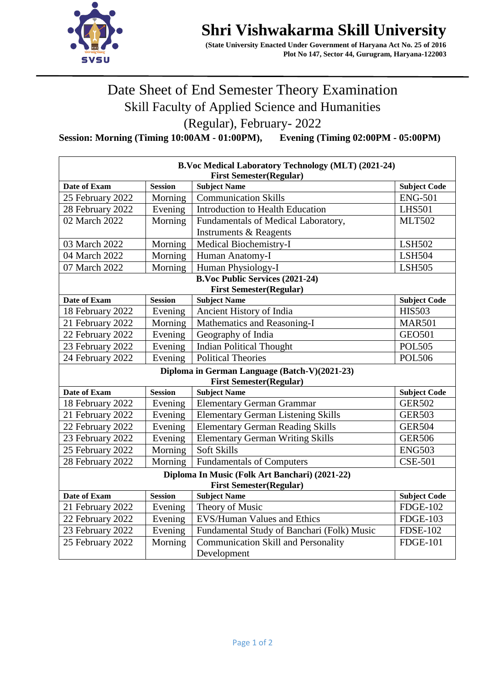

## **Shri Vishwakarma Skill University**

 **(State University Enacted Under Government of Haryana Act No. 25 of 2016 Plot No 147, Sector 44, Gurugram, Haryana-122003** 

## Date Sheet of End Semester Theory Examination Skill Faculty of Applied Science and Humanities (Regular), February- 2022

**Session: Morning (Timing 10:00AM - 01:00PM), Evening (Timing 02:00PM - 05:00PM)**

| <b>B.Voc Medical Laboratory Technology (MLT) (2021-24)</b><br><b>First Semester(Regular)</b> |                                        |                                                         |                                      |  |  |
|----------------------------------------------------------------------------------------------|----------------------------------------|---------------------------------------------------------|--------------------------------------|--|--|
| Date of Exam                                                                                 | <b>Session</b>                         | <b>Subject Name</b>                                     | <b>Subject Code</b>                  |  |  |
| 25 February 2022                                                                             | Morning                                | <b>Communication Skills</b>                             | <b>ENG-501</b>                       |  |  |
| 28 February 2022                                                                             | Evening                                | Introduction to Health Education                        | <b>LHS501</b>                        |  |  |
| 02 March 2022                                                                                | Morning                                | Fundamentals of Medical Laboratory,                     | <b>MLT502</b>                        |  |  |
|                                                                                              |                                        | <b>Instruments &amp; Reagents</b>                       |                                      |  |  |
| 03 March 2022                                                                                | Morning                                | Medical Biochemistry-I                                  | <b>LSH502</b>                        |  |  |
| 04 March 2022                                                                                | Morning                                | Human Anatomy-I                                         | <b>LSH504</b>                        |  |  |
| 07 March 2022                                                                                | Morning                                | Human Physiology-I                                      | <b>LSH505</b>                        |  |  |
|                                                                                              | <b>B.Voc Public Services (2021-24)</b> |                                                         |                                      |  |  |
| <b>First Semester(Regular)</b>                                                               |                                        |                                                         |                                      |  |  |
| Date of Exam                                                                                 | <b>Session</b>                         | <b>Subject Name</b>                                     | <b>Subject Code</b>                  |  |  |
| 18 February 2022                                                                             | Evening                                | Ancient History of India                                | <b>HIS503</b>                        |  |  |
| 21 February 2022                                                                             | Morning                                | Mathematics and Reasoning-I                             | <b>MAR501</b>                        |  |  |
| 22 February 2022                                                                             | Evening                                | Geography of India                                      | <b>GEO501</b>                        |  |  |
| 23 February 2022                                                                             | Evening                                | <b>Indian Political Thought</b>                         | <b>POL505</b>                        |  |  |
| 24 February 2022                                                                             | Evening                                | <b>Political Theories</b>                               | <b>POL506</b>                        |  |  |
| Diploma in German Language (Batch-V)(2021-23)                                                |                                        |                                                         |                                      |  |  |
| Date of Exam                                                                                 | <b>Session</b>                         | <b>First Semester(Regular)</b>                          |                                      |  |  |
| 18 February 2022                                                                             |                                        | <b>Subject Name</b><br><b>Elementary German Grammar</b> | <b>Subject Code</b><br><b>GER502</b> |  |  |
|                                                                                              | Evening<br>Evening                     |                                                         |                                      |  |  |
| 21 February 2022                                                                             |                                        | <b>Elementary German Listening Skills</b>               | <b>GER503</b>                        |  |  |
| 22 February 2022                                                                             | Evening                                | <b>Elementary German Reading Skills</b>                 | <b>GER504</b>                        |  |  |
| 23 February 2022                                                                             | Evening                                | <b>Elementary German Writing Skills</b>                 | <b>GER506</b>                        |  |  |
| 25 February 2022                                                                             | Morning                                | <b>Soft Skills</b>                                      | <b>ENG503</b>                        |  |  |
| 28 February 2022                                                                             | Morning                                | <b>Fundamentals of Computers</b>                        | <b>CSE-501</b>                       |  |  |
| Diploma In Music (Folk Art Banchari) (2021-22)<br><b>First Semester(Regular)</b>             |                                        |                                                         |                                      |  |  |
| Date of Exam                                                                                 | <b>Session</b>                         | <b>Subject Name</b>                                     | <b>Subject Code</b>                  |  |  |
| 21 February 2022                                                                             | Evening                                | Theory of Music                                         | <b>FDGE-102</b>                      |  |  |
| 22 February 2022                                                                             | Evening                                | <b>EVS/Human Values and Ethics</b>                      | <b>FDGE-103</b>                      |  |  |
| 23 February 2022                                                                             | Evening                                | Fundamental Study of Banchari (Folk) Music              | <b>FDSE-102</b>                      |  |  |
| 25 February 2022                                                                             | Morning                                | <b>Communication Skill and Personality</b>              | <b>FDGE-101</b>                      |  |  |
|                                                                                              |                                        | Development                                             |                                      |  |  |